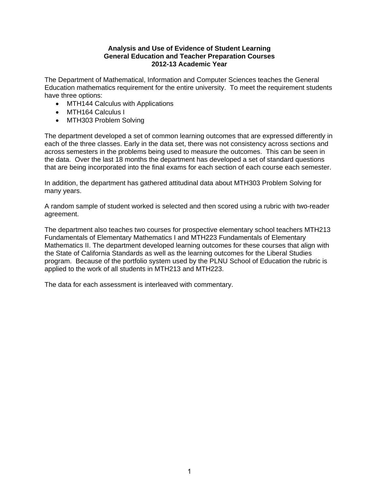#### **Analysis and Use of Evidence of Student Learning General Education and Teacher Preparation Courses 2012-13 Academic Year**

The Department of Mathematical, Information and Computer Sciences teaches the General Education mathematics requirement for the entire university. To meet the requirement students have three options:

- MTH144 Calculus with Applications
- MTH164 Calculus I
- MTH303 Problem Solving

The department developed a set of common learning outcomes that are expressed differently in each of the three classes. Early in the data set, there was not consistency across sections and across semesters in the problems being used to measure the outcomes. This can be seen in the data. Over the last 18 months the department has developed a set of standard questions that are being incorporated into the final exams for each section of each course each semester.

In addition, the department has gathered attitudinal data about MTH303 Problem Solving for many years.

A random sample of student worked is selected and then scored using a rubric with two-reader agreement.

The department also teaches two courses for prospective elementary school teachers MTH213 Fundamentals of Elementary Mathematics I and MTH223 Fundamentals of Elementary Mathematics II. The department developed learning outcomes for these courses that align with the State of California Standards as well as the learning outcomes for the Liberal Studies program. Because of the portfolio system used by the PLNU School of Education the rubric is applied to the work of all students in MTH213 and MTH223.

The data for each assessment is interleaved with commentary.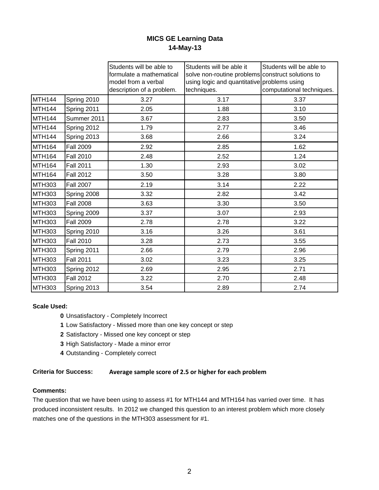# **MICS GE Learning Data 14-May-13**

|                    |                  | Students will be able to<br>formulate a mathematical<br>model from a verbal<br>description of a problem. | Students will be able it<br>solve non-routine problems construct solutions to<br>using logic and quantitative problems using<br>techniques. | Students will be able to<br>computational techniques. |
|--------------------|------------------|----------------------------------------------------------------------------------------------------------|---------------------------------------------------------------------------------------------------------------------------------------------|-------------------------------------------------------|
| MTH144             | Spring 2010      | 3.27                                                                                                     | 3.17                                                                                                                                        | 3.37                                                  |
| MTH <sub>144</sub> | Spring 2011      | 2.05                                                                                                     | 1.88                                                                                                                                        | 3.10                                                  |
| MTH144             | Summer 2011      | 3.67                                                                                                     | 2.83                                                                                                                                        | 3.50                                                  |
| <b>MTH144</b>      | Spring 2012      | 1.79                                                                                                     | 2.77                                                                                                                                        | 3.46                                                  |
| MTH144             | Spring 2013      | 3.68                                                                                                     | 2.66                                                                                                                                        | 3.24                                                  |
| MTH <sub>164</sub> | <b>Fall 2009</b> | 2.92                                                                                                     | 2.85                                                                                                                                        | 1.62                                                  |
| <b>MTH164</b>      | <b>Fall 2010</b> | 2.48                                                                                                     | 2.52                                                                                                                                        | 1.24                                                  |
| MTH <sub>164</sub> | <b>Fall 2011</b> | 1.30                                                                                                     | 2.93                                                                                                                                        | 3.02                                                  |
| MTH <sub>164</sub> | <b>Fall 2012</b> | 3.50                                                                                                     | 3.28                                                                                                                                        | 3.80                                                  |
| <b>MTH303</b>      | <b>Fall 2007</b> | 2.19                                                                                                     | 3.14                                                                                                                                        | 2.22                                                  |
| <b>MTH303</b>      | Spring 2008      | 3.32                                                                                                     | 2.82                                                                                                                                        | 3.42                                                  |
| <b>MTH303</b>      | <b>Fall 2008</b> | 3.63                                                                                                     | 3.30                                                                                                                                        | 3.50                                                  |
| <b>MTH303</b>      | Spring 2009      | 3.37                                                                                                     | 3.07                                                                                                                                        | 2.93                                                  |
| <b>MTH303</b>      | <b>Fall 2009</b> | 2.78                                                                                                     | 2.78                                                                                                                                        | 3.22                                                  |
| <b>MTH303</b>      | Spring 2010      | 3.16                                                                                                     | 3.26                                                                                                                                        | 3.61                                                  |
| <b>MTH303</b>      | <b>Fall 2010</b> | 3.28                                                                                                     | 2.73                                                                                                                                        | 3.55                                                  |
| <b>MTH303</b>      | Spring 2011      | 2.66                                                                                                     | 2.79                                                                                                                                        | 2.96                                                  |
| <b>MTH303</b>      | <b>Fall 2011</b> | 3.02                                                                                                     | 3.23                                                                                                                                        | 3.25                                                  |
| <b>MTH303</b>      | Spring 2012      | 2.69                                                                                                     | 2.95                                                                                                                                        | 2.71                                                  |
| <b>MTH303</b>      | <b>Fall 2012</b> | 3.22                                                                                                     | 2.70                                                                                                                                        | 2.48                                                  |
| <b>MTH303</b>      | Spring 2013      | 3.54                                                                                                     | 2.89                                                                                                                                        | 2.74                                                  |

# **Scale Used:**

- **0** Unsatisfactory Completely Incorrect
- **1** Low Satisfactory Missed more than one key concept or step
- **2** Satisfactory Missed one key concept or step
- **3** High Satisfactory Made a minor error
- **4** Outstanding Completely correct

# **Criteria for Success: Average sample score of 2.5 or higher for each problem**

#### **Comments:**

The question that we have been using to assess #1 for MTH144 and MTH164 has varried over time. It has produced inconsistent results. In 2012 we changed this question to an interest problem which more closely matches one of the questions in the MTH303 assessment for #1.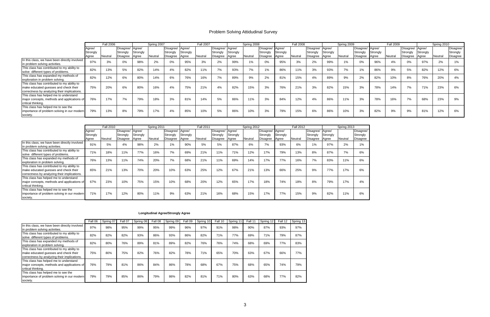|                                                                                                                                      |                             | <b>Fall 2006</b> |                                          |                   | Spring 2007 |                                                |          | <b>Fall 2007</b> |                                          |                   | Spring 2008 |                                                |          | <b>Fall 2008</b> |                                          |                   | Spring 2009 |                                                 |                   | Fall 2009 |                                                 |                   | Spring 2010 |                                   |
|--------------------------------------------------------------------------------------------------------------------------------------|-----------------------------|------------------|------------------------------------------|-------------------|-------------|------------------------------------------------|----------|------------------|------------------------------------------|-------------------|-------------|------------------------------------------------|----------|------------------|------------------------------------------|-------------------|-------------|-------------------------------------------------|-------------------|-----------|-------------------------------------------------|-------------------|-------------|-----------------------------------|
|                                                                                                                                      | Aaree/<br>Strongly<br>Aaree | Neutral          | Disagree/ Agree/<br>Stronaly<br>Disagree | Strongly<br>Agree | Neutral     | Disagree/ Agree/<br>Strongly<br>Disagree Agree | Strongly | <b>Neutral</b>   | Disagree/ Agree/<br>Strongly<br>Disagree | Strongly<br>Agree | Neutral     | Disagree/ Agree/<br>Strongly<br>Disagree Agree | Strongly | Neutral          | Disagree/ Agree/<br>Strongly<br>Disagree | Strongly<br>Agree | Neutral     | Disagree/ Agree/<br>Strongly<br><b>Disagree</b> | Strongly<br>Agree | Neutral   | Disagree/ Agree/<br>Strongly<br><b>Disagree</b> | Strongly<br>Agree | Neutral     | Disagree/<br>Strongly<br>Disagree |
| In this class, we have been directly involved<br>in problem solving activities.                                                      | 97%                         |                  | $0\%$                                    | 98%               | 2%          | $0\%$                                          | 95%      | 3%               | 2%                                       | 99%               |             | 0%                                             | 95%      |                  | 2%                                       | 99%               |             | 0%                                              | 96%               |           | 0%                                              | 97%               |             | 1%                                |
| This class has contributed to my ability to<br>solve different types of problems.                                                    | 82%                         | 13%              | 5%                                       | 82%               | 14%         | 4%                                             | 82%      | 11%              | 7%                                       | 93%               |             | 1%                                             | 86%      | 11%              | 3%                                       | 93%               |             | 1%                                              | 86%               |           | 5%                                              | 82%               | 12%         | 6%                                |
| This class has expanded my methods of<br>exploration in problem solving.                                                             | 82%                         | 12%              | 6%                                       | 80%               | 14%         | 6%                                             | 76%      | 16%              | 70/<br>$1\%$                             | 89%               |             | 2%                                             | 81%      | 15%              | 4%                                       | 89%               | 9%          | 2%                                              | 82%               |           | 8%                                              | 76%               | 20%         | 4%                                |
| This class has contributed to my ability to<br>make educated guesses and check their<br>correctness by analyzing their implications. | 75%                         | 20%              | 6%                                       | 80%               | 16%         | 4%                                             | 75%      | 21%              | 4%                                       | 82%               | 15%         | 3%                                             | 76%      | 21%              | 3%                                       | 82%               | 15%         | 3%                                              | 78%               | 14%       | 7%                                              | 71%               | 23%         | 6%                                |
| This class has helped me to understand<br>major concepts, methods and applications of<br>critical thinking.                          | 76%                         | 17%              | 7%                                       | 79%               | 18%         | 3%                                             | 81%      | 14%              | 5%                                       | 86%               | 11%         | 3%                                             | 84%      | 12%              | 4%                                       | 86%               | 11%         | 3%                                              | 78%               | 16%       | 7%                                              | 68%               | 23%         | 9%                                |
| This class has helped me to see the<br>importance of problem solving in our modern<br>society.                                       | 79%                         | 13%              | 8%                                       | 79%               | 17%         | 4%                                             | 85%      | 10%              | 5%                                       | 86%               | 10%         | 3%                                             | 79%      | 15%              | 6%                                       | 86%               |             | 3%                                              | 82%               | 9%        | 9%                                              | 81%               | 12%         | 6%                                |

| Disagree/<br>Strongly<br>Disagree | Agree/<br>Strongly |         | Disagree/ Agree/     |                   |         | Disagree/ Agree/            |                   |         |                                          |                   |         |                                   |                             |         |                                   |
|-----------------------------------|--------------------|---------|----------------------|-------------------|---------|-----------------------------|-------------------|---------|------------------------------------------|-------------------|---------|-----------------------------------|-----------------------------|---------|-----------------------------------|
|                                   | Agree              | Neutral | Strongly<br>Disagree | Strongly<br>Agree | Neutral | Strongly<br><b>Disagree</b> | Strongly<br>Agree | Neutral | Disagree/ Agree/<br>Strongly<br>Disagree | Strongly<br>Agree | Neutral | Disagree/<br>Strongly<br>Disagree | Agree/<br>Strongly<br>Agree | Neutral | Disagree/<br>Strongly<br>Disagree |
| 4%                                | 98%                | 2%      | 1%                   | 90%               | 5%      | 5%                          | 87%               | 6%      | 7%                                       | 93%               | 6%      | 1%                                | 97%                         | 2%      | 1%                                |
| 11%                               | 77%                | 16%     | 7%                   | 69%               | 21%     | 11%                         | 71%               | 12%     | 17%                                      | 79%               | 13%     | 8%                                | 87%                         | 7%      | 6%                                |
| 11%                               | 74%                | 20%     | 7%                   | 68%               | 21%     | 11%                         | 69%               | 14%     | 17%                                      | 77%               | 16%     | 7%                                | 83%                         | 11%     | 6%                                |
| 13%                               | 70%                | 20%     | 10%                  | 63%               | 25%     | 12%                         | 67%               | 21%     | 13%                                      | 66%               | 25%     | 9%                                | 77%                         | 17%     | 6%                                |
| 10%                               | 75%                | 15%     | 10%                  | 68%               | 20%     | 12%                         | 65%               | 17%     | 18%                                      | 74%               | 18%     | 8%                                | 79%                         | 17%     | 4%                                |
| 12%                               | 80%                | 11%     | 9%                   | 63%               | 21%     | 16%                         | 68%               | 15%     | 17%                                      | 77%               | 15%     | 9%                                | 82%                         | 11%     | 6%                                |
|                                   |                    |         |                      |                   |         |                             |                   |         |                                          |                   |         |                                   |                             |         |                                   |

|                                                                                                                                      | Fall 06 | Spring 07 | Fall 07 | Spring 08 | Fall 08 | Spring 09 | Fall 09 | Spring 10 | Fall 10 | Spring | Fall 1 | Spring | 12<br>Fall | Spring 13 |
|--------------------------------------------------------------------------------------------------------------------------------------|---------|-----------|---------|-----------|---------|-----------|---------|-----------|---------|--------|--------|--------|------------|-----------|
| In this class, we have been directly involved<br>in problem solving activities.                                                      | 97%     | 98%       | 95%     | 99%       | 95%     | 99%       | 96%     | 97%       | 91%     | 98%    | 90%    | 87%    | 93%        | 97%       |
| This class has contributed to my ability to<br>solve different types of problems.                                                    | 82%     | 82%       | 82%     | 93%       | 86%     | 93%       | 86%     | 82%       | 71%     | 77%    | 69%    | 71%    | 79%        | 87%       |
| This class has expanded my methods of<br>exploration in problem solving.                                                             | 82%     | 80%       | 76%     | 89%       | 81%     | 89%       | 82%     | 76%       | 76%     | 74%    | 68%    | 69%    | 77%        | 83%       |
| This class has contributed to my ability to<br>make educated guesses and check their<br>correctness by analyzing their implications. | 75%     | 80%       | 75%     | 82%       | 76%     | 82%       | 78%     | 71%       | 65%     | 70%    | 63%    | 67%    | 66%        | 77%       |
| This class has helped me to understand<br>major concepts, methods and applications of<br>critical thinking.                          | 76%     | 79%       | 81%     | 86%       | 84%     | 86%       | 78%     | 68%       | 67%     | 75%    | 68%    | 65%    | 74%        | 79%       |
| This class has helped me to see the<br>importance of problem solving in our modern<br>society.                                       | 79%     | 79%       | 85%     | 86%       | 79%     | 86%       | 82%     | 81%       | 71%     | 80%    | 63%    | 68%    | 77%        | 82%       |

## **Longitudinal Agree/Strongly Agree**

# Problem Solving Attidudinal Survey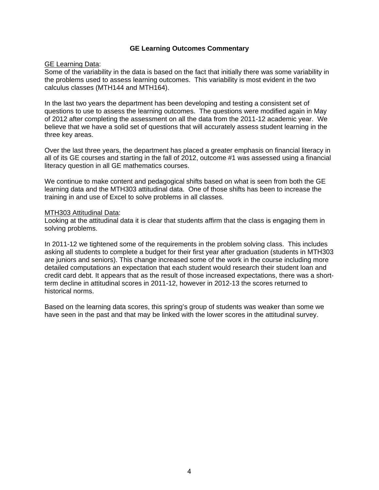### **GE Learning Outcomes Commentary**

## **GE Learning Data:**

Some of the variability in the data is based on the fact that initially there was some variability in the problems used to assess learning outcomes. This variability is most evident in the two calculus classes (MTH144 and MTH164).

In the last two years the department has been developing and testing a consistent set of questions to use to assess the learning outcomes. The questions were modified again in May of 2012 after completing the assessment on all the data from the 2011-12 academic year. We believe that we have a solid set of questions that will accurately assess student learning in the three key areas.

Over the last three years, the department has placed a greater emphasis on financial literacy in all of its GE courses and starting in the fall of 2012, outcome #1 was assessed using a financial literacy question in all GE mathematics courses.

We continue to make content and pedagogical shifts based on what is seen from both the GE learning data and the MTH303 attitudinal data. One of those shifts has been to increase the training in and use of Excel to solve problems in all classes.

#### MTH303 Attitudinal Data:

Looking at the attitudinal data it is clear that students affirm that the class is engaging them in solving problems.

In 2011-12 we tightened some of the requirements in the problem solving class. This includes asking all students to complete a budget for their first year after graduation (students in MTH303 are juniors and seniors). This change increased some of the work in the course including more detailed computations an expectation that each student would research their student loan and credit card debt. It appears that as the result of those increased expectations, there was a shortterm decline in attitudinal scores in 2011-12, however in 2012-13 the scores returned to historical norms.

Based on the learning data scores, this spring's group of students was weaker than some we have seen in the past and that may be linked with the lower scores in the attitudinal survey.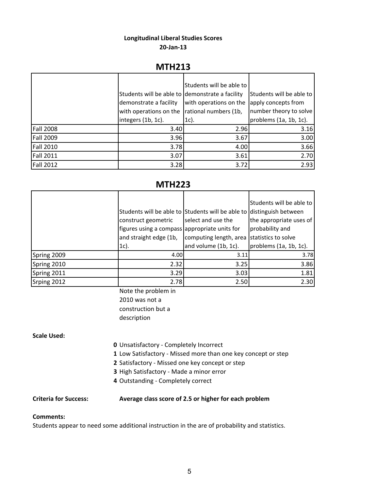## **Longitudinal Liberal Studies Scores 20‐Jan‐13**

# **MTH213**

|                  |                                                 | Students will be able to |                          |
|------------------|-------------------------------------------------|--------------------------|--------------------------|
|                  | Students will be able to demonstrate a facility |                          | Students will be able to |
|                  | demonstrate a facility                          | with operations on the   | apply concepts from      |
|                  | with operations on the                          | rational numbers (1b,    | number theory to solve   |
|                  | integers (1b, 1c).                              | 1c).                     | problems (1a, 1b, 1c).   |
| <b>Fall 2008</b> | 3.40                                            | 2.96                     | 3.16                     |
| <b>Fall 2009</b> | 3.96                                            | 3.67                     | 3.00                     |
| <b>Fall 2010</b> | 3.78                                            | 4.00                     | 3.66                     |
| <b>Fall 2011</b> | 3.07                                            | 3.61                     | 2.70                     |
| <b>Fall 2012</b> | 3.28                                            | 3.72                     | 2.93                     |

# **MTH223**

|             |                                                                       |                                            | Students will be able to |
|-------------|-----------------------------------------------------------------------|--------------------------------------------|--------------------------|
|             | Students will be able to Students will be able to distinguish between |                                            |                          |
|             | construct geometric                                                   | select and use the                         | the appropriate uses of  |
|             | figures using a compass appropriate units for                         |                                            | probability and          |
|             | and straight edge (1b,                                                | computing length, area statistics to solve |                          |
|             | $1c$ ).                                                               | and volume (1b, 1c).                       | problems (1a, 1b, 1c).   |
| Spring 2009 | 4.00                                                                  | 3.11                                       | 3.78                     |
| Spring 2010 | 2.32                                                                  | 3.25                                       | 3.86                     |
| Spring 2011 | 3.29                                                                  | 3.03                                       | 1.81                     |
| Srping 2012 | 2.78                                                                  | 2.50                                       | 2.30                     |

Note the problem in 2010 was not a construction but a description

#### **Scale Used:**

- **0** Unsatisfactory ‐ Completely Incorrect
- **1** Low Satisfactory ‐ Missed more than one key concept or step
- **2** Satisfactory ‐ Missed one key concept or step
- **3** High Satisfactory ‐ Made a minor error
- **4** Outstanding ‐ Completely correct

### **Criteria for Success: Average class score of 2.5 or higher for each problem**

#### **Comments:**

Students appear to need some additional instruction in the are of probability and statistics.